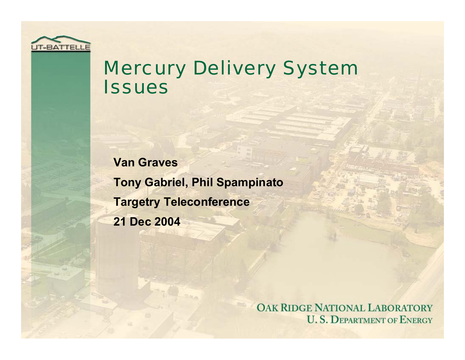

### Mercury Delivery System **Issues**

**Van Graves Tony Gabriel, Phil Spampinato Targetry Teleconference 21 Dec 2004**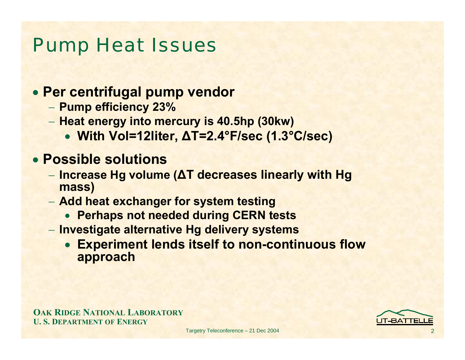### Pump Heat Issues

#### • **Per centrifugal pump vendor**

- **Pump efficiency 23%**
- **Heat energy into mercury is 40.5hp (30kw)**
	- **With Vol=12liter, ∆T=2.4°F/sec (1.3°C/sec)**

#### • **Possible solutions**

- **Increase Hg volume (∆T decreases linearly with Hg mass)**
- **Add heat exchanger for system testing**
	- **Perhaps not needed during CERN tests**
- **Investigate alternative Hg delivery systems**
	- **Experiment lends itself to non-continuous flow approach**

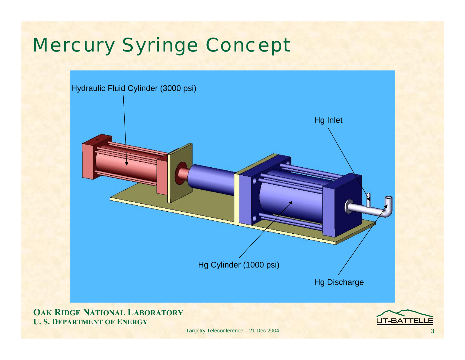# Mercury Syringe Concept



**OAK RIDGE NATIONAL LABORATORY U. S. DEPARTMENT OF ENERGY**

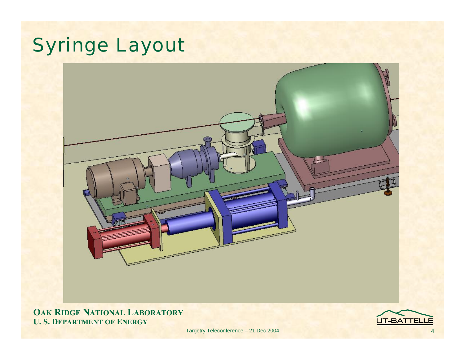# Syringe Layout



**OAK RIDGE NATIONAL LABORATORY U. S. DEPARTMENT OF ENERGY**

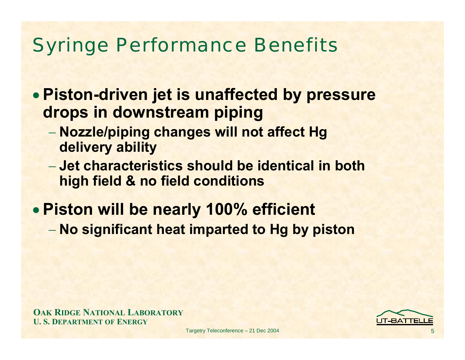## Syringe Performance Benefits

- **Piston-driven jet is unaffected by pressure drops in downstream piping**
	- **Nozzle/piping changes will not affect Hg delivery ability**
	- − **Jet characteristics should be identical in both high field & no field conditions**
- **Piston will be nearly 100% efficient No significant heat imparted to Hg by piston**

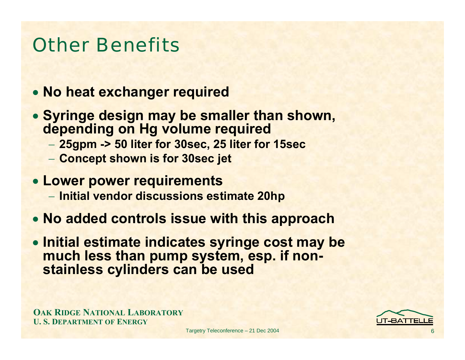## Other Benefits

- **No heat exchanger required**
- **Syringe design may be smaller than shown, depending on Hg volume required**
	- **25gpm -> 50 liter for 30sec, 25 liter for 15sec**
	- **Concept shown is for 30sec jet**
- **Lower power requirements**
	- **Initial vendor discussions estimate 20hp**
- **No added controls issue with this approach**
- **Initial estimate indicates syringe cost may be much less than pump system, esp. if nonstainless cylinders can be used**

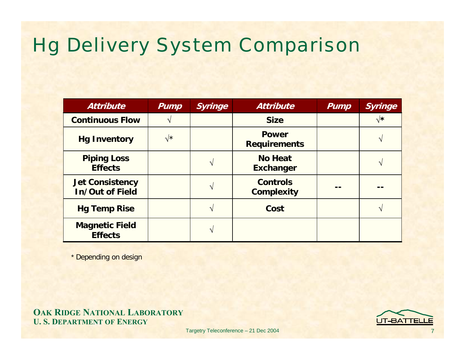## Hg Delivery System Comparison

| <b>Attribute</b>                                 | <b>Pump</b>    | <b>Syringe</b> | <b>Attribute</b>                     | <b>Pump</b> | <b>Syringe</b> |
|--------------------------------------------------|----------------|----------------|--------------------------------------|-------------|----------------|
| <b>Continuous Flow</b>                           |                |                | <b>Size</b>                          |             | $\sqrt{\star}$ |
| <b>Hg Inventory</b>                              | $\sqrt{\star}$ |                | <b>Power</b><br><b>Requirements</b>  |             |                |
| <b>Piping Loss</b><br><b>Effects</b>             |                | ٦              | <b>No Heat</b><br><b>Exchanger</b>   |             |                |
| <b>Jet Consistency</b><br><b>In/Out of Field</b> |                | $\gamma$       | <b>Controls</b><br><b>Complexity</b> |             |                |
| <b>Hg Temp Rise</b>                              |                | ٦              | Cost                                 |             |                |
| <b>Magnetic Field</b><br><b>Effects</b>          |                |                |                                      |             |                |

\* Depending on design

**OAK RIDGE NATIONAL LABORATORY U. S. DEPARTMENT OF ENERGY**

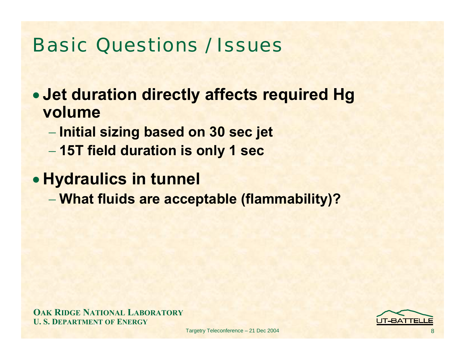## Basic Questions / Issues

• **Jet duration directly affects required Hg volume** 

- **Initial sizing based on 30 sec jet**
- **15T field duration is only 1 sec**

• **Hydraulics in tunnel**

**What fluids are acceptable (flammability)?**